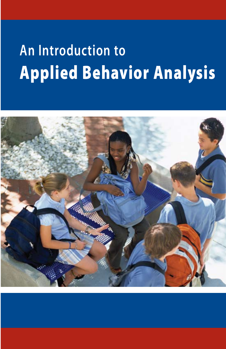# **An Introduction to** Applied Behavior Analysis

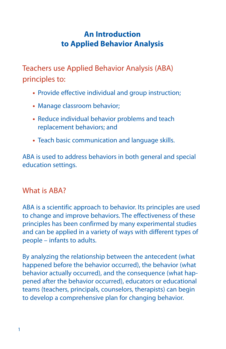## **An Introduction to Applied Behavior Analysis**

Teachers use Applied Behavior Analysis (ABA) principles to:

- **•** Provide effective individual and group instruction;
- **•** Manage classroom behavior;
- **•** Reduce individual behavior problems and teach replacement behaviors; and
- **•** Teach basic communication and language skills.

ABA is used to address behaviors in both general and special education settings.

## What is ABA?

ABA is a scientific approach to behavior. Its principles are used to change and improve behaviors. The effectiveness of these principles has been confirmed by many experimental studies and can be applied in a variety of ways with different types of people – infants to adults.

By analyzing the relationship between the antecedent (what happened before the behavior occurred), the behavior (what behavior actually occurred), and the consequence (what happened after the behavior occurred), educators or educational teams (teachers, principals, counselors, therapists) can begin to develop a comprehensive plan for changing behavior.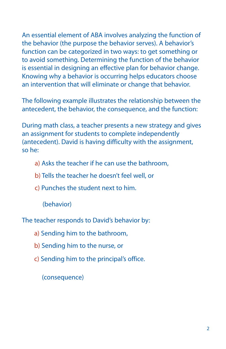An essential element of ABA involves analyzing the function of the behavior (the purpose the behavior serves). A behavior's function can be categorized in two ways: to get something or to avoid something. Determining the function of the behavior is essential in designing an effective plan for behavior change. Knowing why a behavior is occurring helps educators choose an intervention that will eliminate or change that behavior.

The following example illustrates the relationship between the antecedent, the behavior, the consequence, and the function:

During math class, a teacher presents a new strategy and gives an assignment for students to complete independently (antecedent). David is having difficulty with the assignment, so he:

- a) Asks the teacher if he can use the bathroom,
- b) Tells the teacher he doesn't feel well, or
- c) Punches the student next to him.

(behavior)

The teacher responds to David's behavior by:

a) Sending him to the bathroom,

- b) Sending him to the nurse, or
- c) Sending him to the principal's office.

(consequence)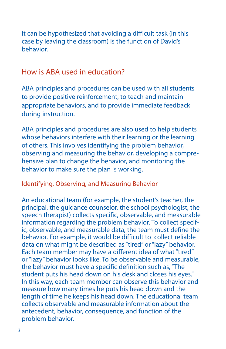It can be hypothesized that avoiding a difficult task (in this case by leaving the classroom) is the function of David's behavior.

## How is ABA used in education?

ABA principles and procedures can be used with all students to provide positive reinforcement, to teach and maintain appropriate behaviors, and to provide immediate feedback during instruction.

ABA principles and procedures are also used to help students whose behaviors interfere with their learning or the learning of others. This involves identifying the problem behavior, observing and measuring the behavior, developing a comprehensive plan to change the behavior, and monitoring the behavior to make sure the plan is working.

Identifying, Observing, and Measuring Behavior

An educational team (for example, the student's teacher, the principal, the guidance counselor, the school psychologist, the speech therapist) collects specific, observable, and measurable information regarding the problem behavior. To collect specific, observable, and measurable data, the team must define the behavior. For example, it would be difficult to collect reliable data on what might be described as "tired" or "lazy" behavior. Each team member may have a different idea of what "tired" or "lazy" behavior looks like. To be observable and measurable, the behavior must have a specific definition such as, "The student puts his head down on his desk and closes his eyes." In this way, each team member can observe this behavior and measure how many times he puts his head down and the length of time he keeps his head down. The educational team collects observable and measurable information about the antecedent, behavior, consequence, and function of the problem behavior.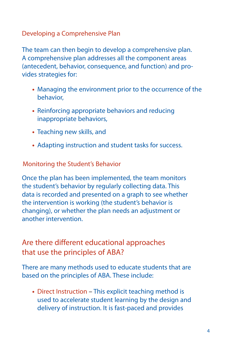## Developing a Comprehensive Plan

The team can then begin to develop a comprehensive plan. A comprehensive plan addresses all the component areas (antecedent, behavior, consequence, and function) and provides strategies for:

- **•** Managing the environment prior to the occurrence of the behavior,
- **•** Reinforcing appropriate behaviors and reducing inappropriate behaviors,
- **•** Teaching new skills, and
- **•** Adapting instruction and student tasks for success.

## Monitoring the Student's Behavior

Once the plan has been implemented, the team monitors the student's behavior by regularly collecting data. This data is recorded and presented on a graph to see whether the intervention is working (the student's behavior is changing), or whether the plan needs an adjustment or another intervention.

## Are there different educational approaches that use the principles of ABA?

There are many methods used to educate students that are based on the principles of ABA. These include:

**•** Direct Instruction – This explicit teaching method is used to accelerate student learning by the design and delivery of instruction. It is fast-paced and provides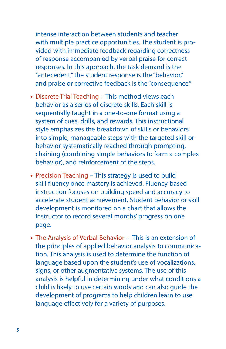intense interaction between students and teacher with multiple practice opportunities. The student is provided with immediate feedback regarding correctness of response accompanied by verbal praise for correct responses. In this approach, the task demand is the "antecedent," the student response is the "behavior," and praise or corrective feedback is the "consequence."

- **•** Discrete Trial Teaching This method views each behavior as a series of discrete skills. Each skill is sequentially taught in a one-to-one format using a system of cues, drills, and rewards. This instructional style emphasizes the breakdown of skills or behaviors into simple, manageable steps with the targeted skill or behavior systematically reached through prompting, chaining (combining simple behaviors to form a complex behavior), and reinforcement of the steps.
- **•** Precision Teaching This strategy is used to build skill fluency once mastery is achieved. Fluency-based instruction focuses on building speed and accuracy to accelerate student achievement. Student behavior or skill development is monitored on a chart that allows the instructor to record several months' progress on one page.
- **•** The Analysis of Verbal Behavior This is an extension of the principles of applied behavior analysis to communication. This analysis is used to determine the function of language based upon the student's use of vocalizations, signs, or other augmentative systems. The use of this analysis is helpful in determining under what conditions a child is likely to use certain words and can also guide the development of programs to help children learn to use language effectively for a variety of purposes.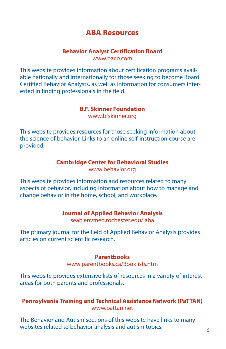## **ABA Resources**

#### **Behavior Analyst Certification Board** www.bacb.com

This website provides information about certification programs available nationally and internationally for those seeking to become Board Certified Behavior Analysts, as well as information for consumers interested in finding professionals in the field.

#### **B.F. Skinner Foundation**

www.bfskinner.org

This website provides resources for those seeking information about the science of behavior. Links to an online self-instruction course are provided.

#### **Cambridge Center for Behavioral Studies**

www.behavior.org

This website provides information and resources related to many aspects of behavior, including information about how to manage and change behavior in the home, school, and workplace.

#### **Journal of Applied Behavior Analysis**

seab.envmed.rochester.edu/jaba

The primary journal for the field of Applied Behavior Analysis provides articles on current scientific research.

#### **Parentbooks**

www.parentbooks.ca/Booklists.htm

This website provides extensive lists of resources in a variety of interest areas for both parents and professionals.

#### **Pennsylvania Training and Technical Assistance Network (PaTTAN)** www.pattan.net

The Behavior and Autism sections of this website have links to many websites related to behavior analysis and autism topics.